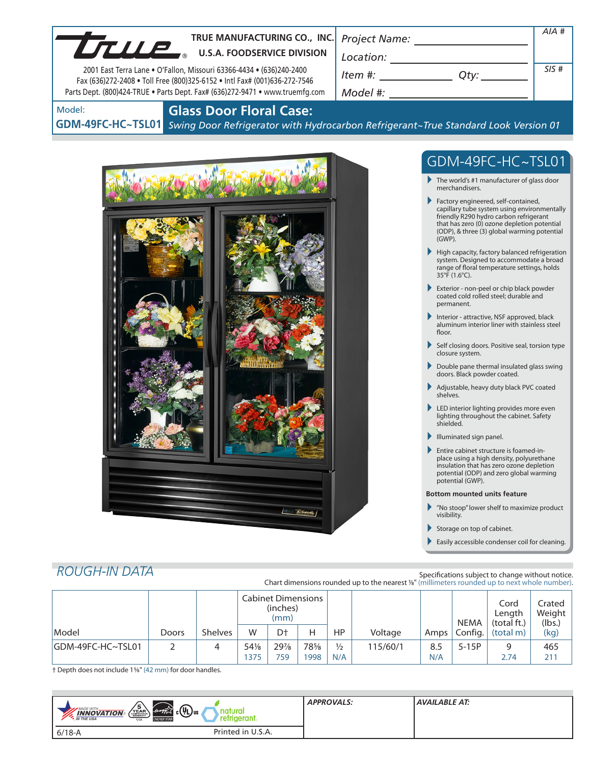| TRUE MANUFACTURING CO., INC.                                                                                                                                                                                                      |                                                                                                                                                     | $AIA$ #                                                                                                                                                                                                                                                                                                                                                                                                                                                                                                                                                                                                                                                                                                                                                                                                                                                                                                                                                                                                                                                                                                                                                                                                                                                                                                                                                          |
|-----------------------------------------------------------------------------------------------------------------------------------------------------------------------------------------------------------------------------------|-----------------------------------------------------------------------------------------------------------------------------------------------------|------------------------------------------------------------------------------------------------------------------------------------------------------------------------------------------------------------------------------------------------------------------------------------------------------------------------------------------------------------------------------------------------------------------------------------------------------------------------------------------------------------------------------------------------------------------------------------------------------------------------------------------------------------------------------------------------------------------------------------------------------------------------------------------------------------------------------------------------------------------------------------------------------------------------------------------------------------------------------------------------------------------------------------------------------------------------------------------------------------------------------------------------------------------------------------------------------------------------------------------------------------------------------------------------------------------------------------------------------------------|
| UTUP.<br><b>U.S.A. FOODSERVICE DIVISION</b>                                                                                                                                                                                       |                                                                                                                                                     |                                                                                                                                                                                                                                                                                                                                                                                                                                                                                                                                                                                                                                                                                                                                                                                                                                                                                                                                                                                                                                                                                                                                                                                                                                                                                                                                                                  |
| 2001 East Terra Lane . O'Fallon, Missouri 63366-4434 . (636)240-2400<br>Fax (636)272-2408 . Toll Free (800)325-6152 . Intl Fax# (001)636-272-7546<br>Parts Dept. (800)424-TRUE . Parts Dept. Fax# (636)272-9471 . www.truemfg.com | $\begin{array}{c}\n\text{Location:}\n\\ \hline\n\text{Item } \#: \begin{array}{c}\n\hline\n\end{array} Q \text{ty:}\n\end{array}$                   | SIS#                                                                                                                                                                                                                                                                                                                                                                                                                                                                                                                                                                                                                                                                                                                                                                                                                                                                                                                                                                                                                                                                                                                                                                                                                                                                                                                                                             |
| <b>Glass Door Floral Case:</b><br>Model:<br>GDM-49FC-HC~TSL01 Swing Door Refrigerator with Hydrocarbon Refrigerant~True Standard Look Version 01                                                                                  |                                                                                                                                                     |                                                                                                                                                                                                                                                                                                                                                                                                                                                                                                                                                                                                                                                                                                                                                                                                                                                                                                                                                                                                                                                                                                                                                                                                                                                                                                                                                                  |
| $\frac{1}{2}$                                                                                                                                                                                                                     | merchandisers.<br>$(GWP)$ .<br>35°F (1.6°C).<br>permanent.<br>floor.<br>closure system.<br>shelves.<br>shielded.<br>potential (GWP).<br>visibility. | GDM-49FC-HC~TSL01<br>$\blacktriangleright$ The world's #1 manufacturer of glass door<br>Factory engineered, self-contained,<br>capillary tube system using environmentally<br>friendly R290 hydro carbon refrigerant<br>that has zero (0) ozone depletion potential<br>(ODP), & three (3) global warming potential<br>$\blacktriangleright$ High capacity, factory balanced refrigeration<br>system. Designed to accommodate a broad<br>range of floral temperature settings, holds<br>Exterior - non-peel or chip black powder<br>coated cold rolled steel; durable and<br>Interior - attractive, NSF approved, black<br>aluminum interior liner with stainless steel<br>Self closing doors. Positive seal, torsion type<br>$\blacktriangleright$ Double pane thermal insulated glass swing<br>doors. Black powder coated.<br>Adjustable, heavy duty black PVC coated<br>LED interior lighting provides more even<br>lighting throughout the cabinet. Safety<br>Illuminated sign panel.<br>Entire cabinet structure is foamed-in-<br>place using a high density, polyurethane<br>insulation that has zero ozone depletion<br>potential (ODP) and zero global warming<br><b>Bottom mounted units feature</b><br>$\blacktriangleright$ "No stoop" lower shelf to maximize product<br>Storage on top of cabinet.<br>Easily accessible condenser coil for cleaning. |

# *ROUGH-IN DATA*

Specifications subject to change without notice. Chart dimensions rounded up to the nearest <sup>1</sup>/8" (millimeters rounded up to next whole number).

|                    |       |                | Cabinet Dimensions<br>(inches)<br>(mm) |     |     |               |          | <b>NEMA</b> | Cord<br>Length<br>(total ft.) | Crated<br>Weight<br>(lbs.) |      |
|--------------------|-------|----------------|----------------------------------------|-----|-----|---------------|----------|-------------|-------------------------------|----------------------------|------|
| Model              | Doors | <b>Shelves</b> | W                                      | D†  |     | HP            | Voltage  | Amps        | Config.                       | (total m)                  | (kg) |
| IGDM-49FC-HC~TSL01 |       | 4              | 54%                                    | 29% | 78% | $\frac{1}{2}$ | 115/60/1 | 8.5         | $5-15P$                       | q                          | 465  |
|                    |       |                | 1375                                   | 759 | 998 | N/A           |          | N/A         |                               | 2.74                       | 211  |

† Depth does not include 15/8" (42 mm) for door handles.

| $\sqrt{\frac{5}{\frac{9}{2}}}}$<br>$_{c}(\Psi_{L})_{us}$<br>MADE WITH<br>energy<br><b>INNOVATION</b><br><b>M</b> THE USA<br><b>ENERGY STAF</b><br><b>USA</b> | <b>APPROVALS:</b> | <b>AVAILABLE AT:</b> |
|--------------------------------------------------------------------------------------------------------------------------------------------------------------|-------------------|----------------------|
| Printed in U.S.A.<br>$6/18 - A$                                                                                                                              |                   |                      |